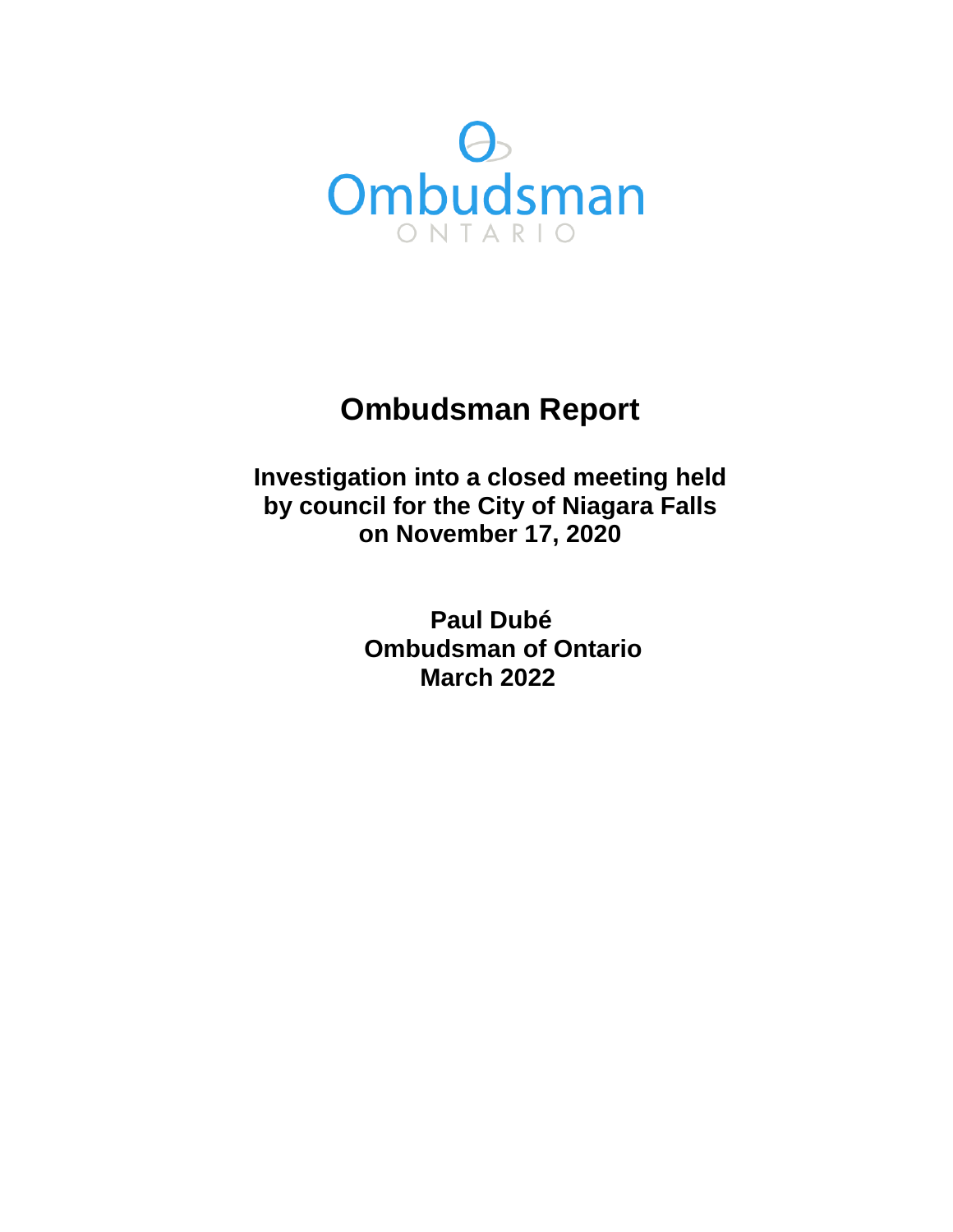

# **Ombudsman Report**

**Investigation into a closed meeting held by council for the City of Niagara Falls on November 17, 2020** 

> **Paul Dubé Ombudsman of Ontario March 2022**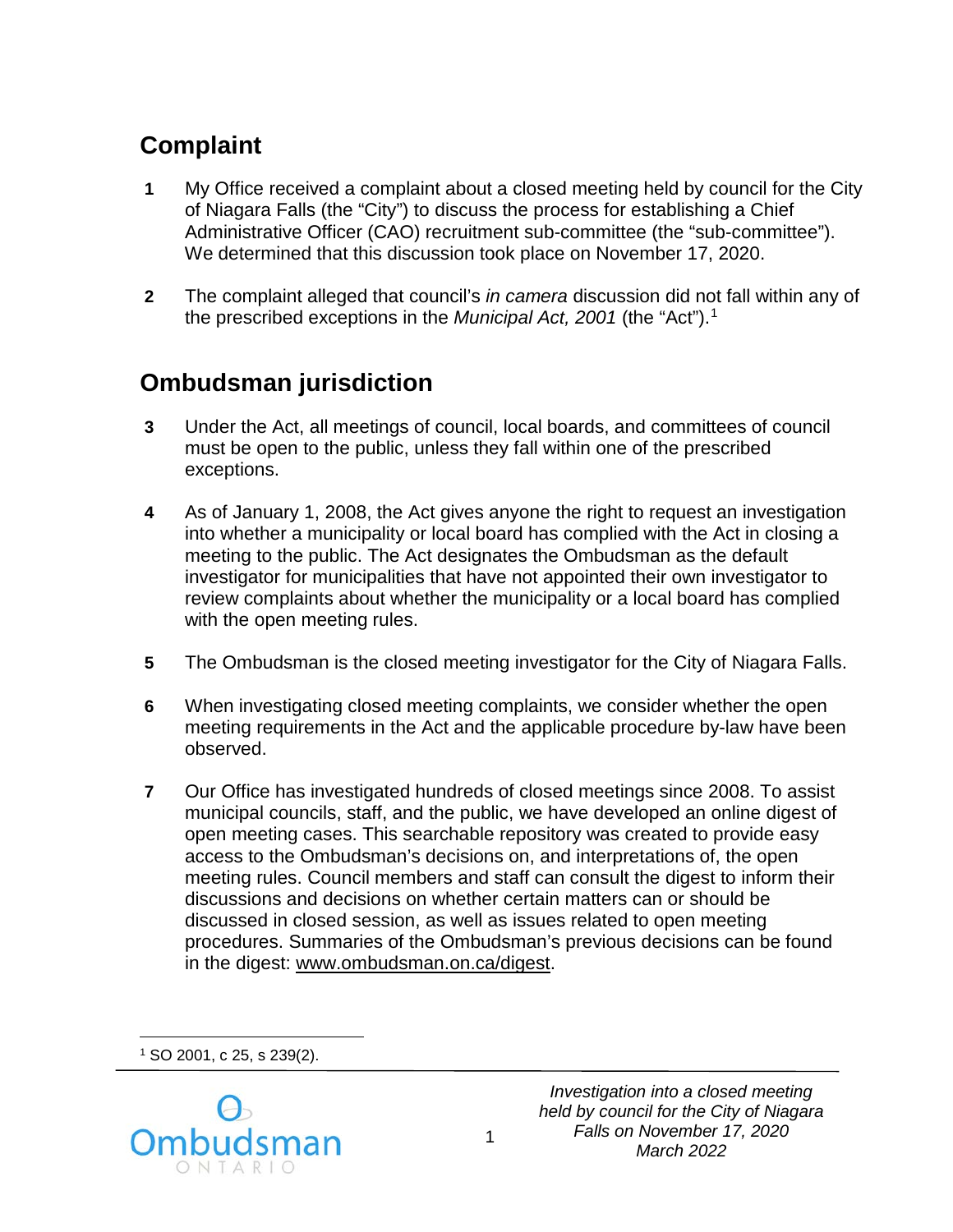# **Complaint**

- **1** My Office received a complaint about a closed meeting held by council for the City of Niagara Falls (the "City") to discuss the process for establishing a Chief Administrative Officer (CAO) recruitment sub-committee (the "sub-committee"). We determined that this discussion took place on November 17, 2020.
- **2** The complaint alleged that council's *in camera* discussion did not fall within any of the prescribed exceptions in the *Municipal Act, 2001* (the "Act").[1](#page-1-0)

## **Ombudsman jurisdiction**

- **3** Under the Act, all meetings of council, local boards, and committees of council must be open to the public, unless they fall within one of the prescribed exceptions.
- **4** As of January 1, 2008, the Act gives anyone the right to request an investigation into whether a municipality or local board has complied with the Act in closing a meeting to the public. The Act designates the Ombudsman as the default investigator for municipalities that have not appointed their own investigator to review complaints about whether the municipality or a local board has complied with the open meeting rules.
- **5** The Ombudsman is the closed meeting investigator for the City of Niagara Falls.
- **6** When investigating closed meeting complaints, we consider whether the open meeting requirements in the Act and the applicable procedure by-law have been observed.
- **7** Our Office has investigated hundreds of closed meetings since 2008. To assist municipal councils, staff, and the public, we have developed an online digest of open meeting cases. This searchable repository was created to provide easy access to the Ombudsman's decisions on, and interpretations of, the open meeting rules. Council members and staff can consult the digest to inform their discussions and decisions on whether certain matters can or should be discussed in closed session, as well as issues related to open meeting procedures. Summaries of the Ombudsman's previous decisions can be found in the digest: [www.ombudsman.on.ca/digest.](http://www.ombudsman.on.ca/digest)

 $\overline{a}$ <sup>1</sup> SO 2001, c 25, s 239(2).

<span id="page-1-0"></span>

*Investigation into a closed meeting held by council for the City of Niagara Falls on November 17, 2020 March 2022*

1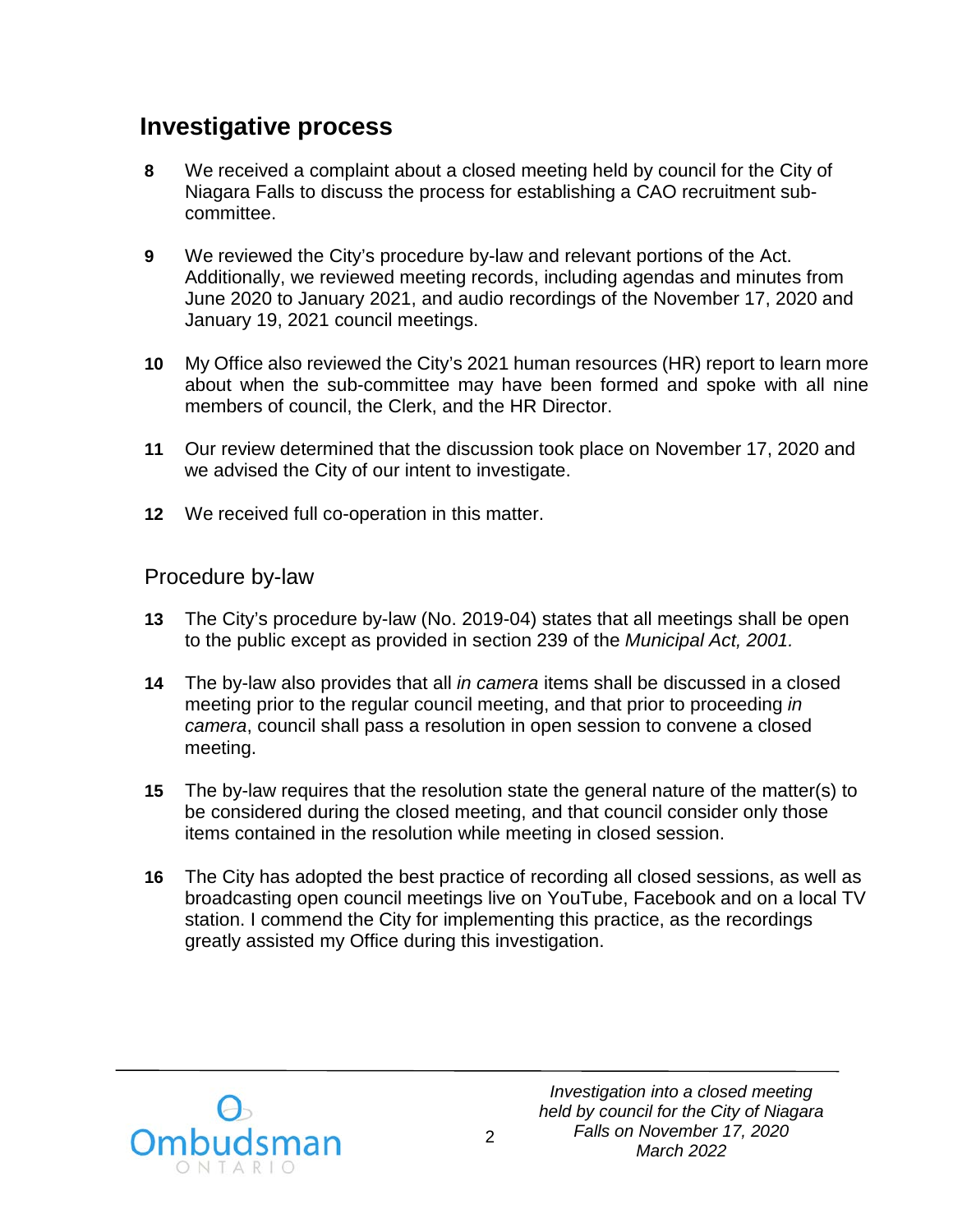## **Investigative process**

- **8** We received a complaint about a closed meeting held by council for the City of Niagara Falls to discuss the process for establishing a CAO recruitment subcommittee.
- **9** We reviewed the City's procedure by-law and relevant portions of the Act. Additionally, we reviewed meeting records, including agendas and minutes from June 2020 to January 2021, and audio recordings of the November 17, 2020 and January 19, 2021 council meetings.
- **10** My Office also reviewed the City's 2021 human resources (HR) report to learn more about when the sub-committee may have been formed and spoke with all nine members of council, the Clerk, and the HR Director.
- **11** Our review determined that the discussion took place on November 17, 2020 and we advised the City of our intent to investigate.
- **12** We received full co-operation in this matter.

#### Procedure by-law

- **13** The City's procedure by-law (No. 2019-04) states that all meetings shall be open to the public except as provided in section 239 of the *Municipal Act, 2001.*
- **14** The by-law also provides that all *in camera* items shall be discussed in a closed meeting prior to the regular council meeting, and that prior to proceeding *in camera*, council shall pass a resolution in open session to convene a closed meeting.
- **15** The by-law requires that the resolution state the general nature of the matter(s) to be considered during the closed meeting, and that council consider only those items contained in the resolution while meeting in closed session.
- **16** The City has adopted the best practice of recording all closed sessions, as well as broadcasting open council meetings live on YouTube, Facebook and on a local TV station. I commend the City for implementing this practice, as the recordings greatly assisted my Office during this investigation.

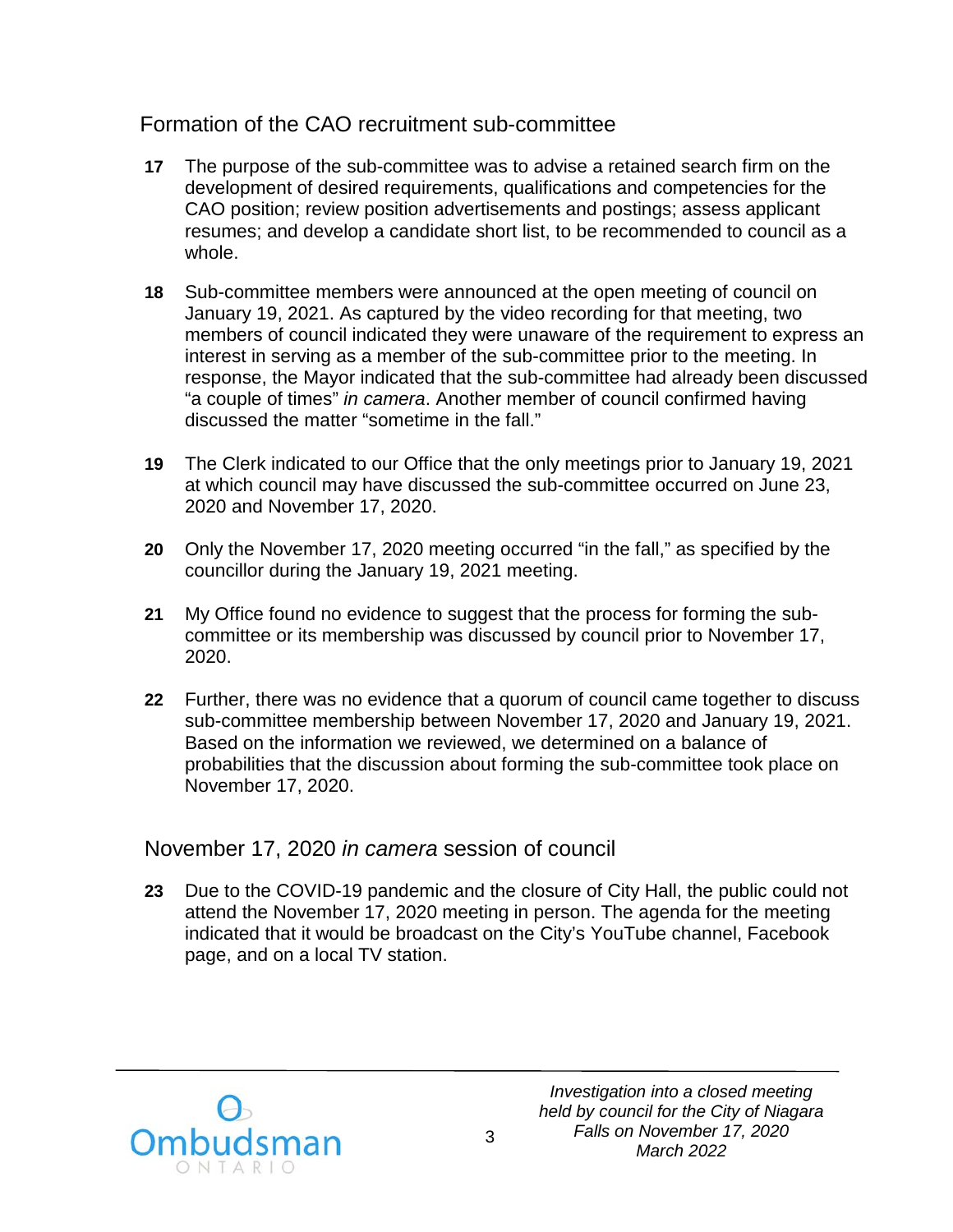### Formation of the CAO recruitment sub-committee

- **17** The purpose of the sub-committee was to advise a retained search firm on the development of desired requirements, qualifications and competencies for the CAO position; review position advertisements and postings; assess applicant resumes; and develop a candidate short list, to be recommended to council as a whole.
- **18** Sub-committee members were announced at the open meeting of council on January 19, 2021. As captured by the video recording for that meeting, two members of council indicated they were unaware of the requirement to express an interest in serving as a member of the sub-committee prior to the meeting. In response, the Mayor indicated that the sub-committee had already been discussed "a couple of times" *in camera*. Another member of council confirmed having discussed the matter "sometime in the fall."
- **19** The Clerk indicated to our Office that the only meetings prior to January 19, 2021 at which council may have discussed the sub-committee occurred on June 23, 2020 and November 17, 2020.
- **20** Only the November 17, 2020 meeting occurred "in the fall," as specified by the councillor during the January 19, 2021 meeting.
- **21** My Office found no evidence to suggest that the process for forming the subcommittee or its membership was discussed by council prior to November 17, 2020.
- **22** Further, there was no evidence that a quorum of council came together to discuss sub-committee membership between November 17, 2020 and January 19, 2021. Based on the information we reviewed, we determined on a balance of probabilities that the discussion about forming the sub-committee took place on November 17, 2020.

### November 17, 2020 *in camera* session of council

**23** Due to the COVID-19 pandemic and the closure of City Hall, the public could not attend the November 17, 2020 meeting in person. The agenda for the meeting indicated that it would be broadcast on the City's YouTube channel, Facebook page, and on a local TV station.

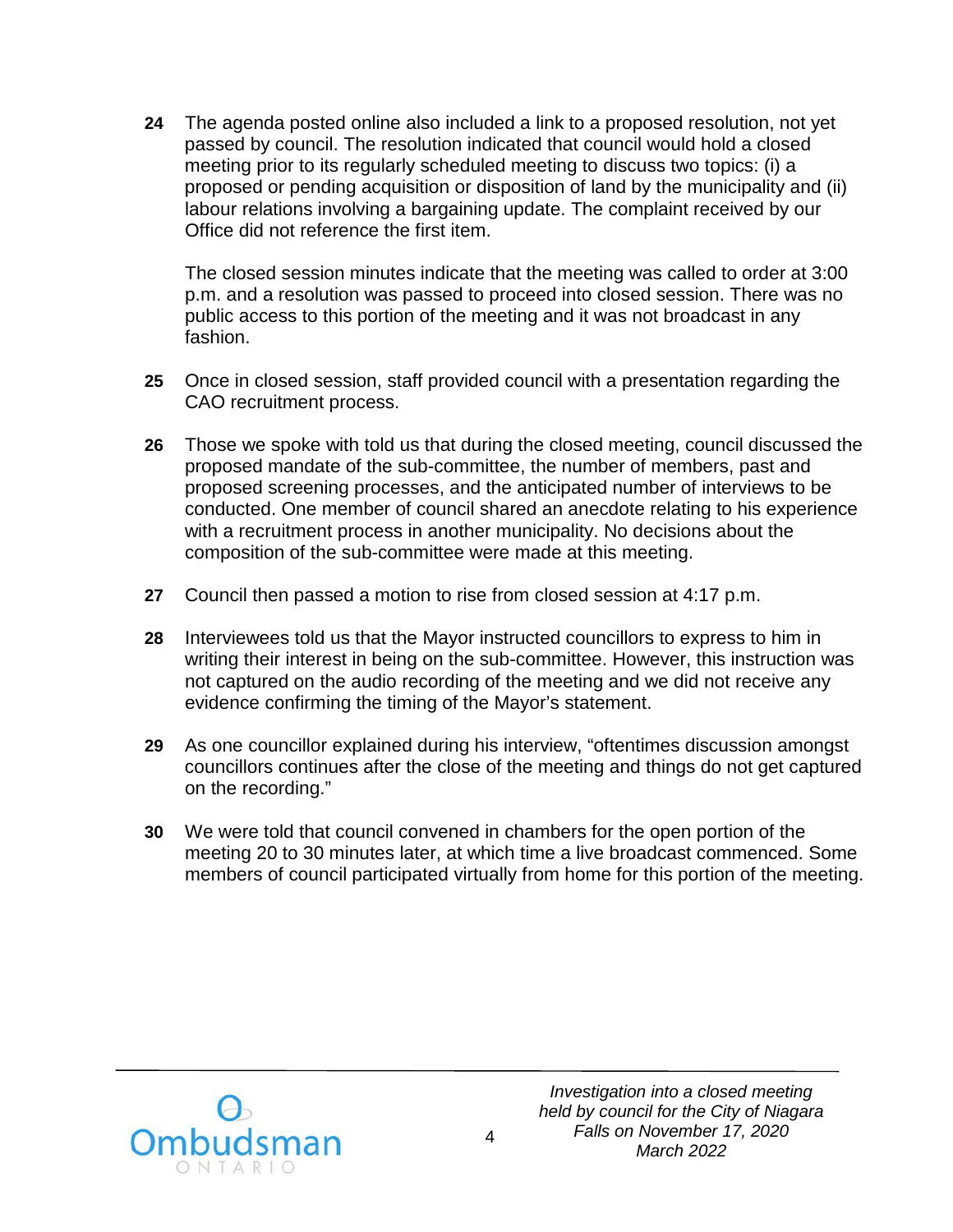**24** The agenda posted online also included a link to a proposed resolution, not yet passed by council. The resolution indicated that council would hold a closed meeting prior to its regularly scheduled meeting to discuss two topics: (i) a proposed or pending acquisition or disposition of land by the municipality and (ii) labour relations involving a bargaining update. The complaint received by our Office did not reference the first item.

The closed session minutes indicate that the meeting was called to order at 3:00 p.m. and a resolution was passed to proceed into closed session. There was no public access to this portion of the meeting and it was not broadcast in any fashion.

- **25** Once in closed session, staff provided council with a presentation regarding the CAO recruitment process.
- **26** Those we spoke with told us that during the closed meeting, council discussed the proposed mandate of the sub-committee, the number of members, past and proposed screening processes, and the anticipated number of interviews to be conducted. One member of council shared an anecdote relating to his experience with a recruitment process in another municipality. No decisions about the composition of the sub-committee were made at this meeting.
- **27** Council then passed a motion to rise from closed session at 4:17 p.m.
- **28** Interviewees told us that the Mayor instructed councillors to express to him in writing their interest in being on the sub-committee. However, this instruction was not captured on the audio recording of the meeting and we did not receive any evidence confirming the timing of the Mayor's statement.
- **29** As one councillor explained during his interview, "oftentimes discussion amongst councillors continues after the close of the meeting and things do not get captured on the recording."
- **30** We were told that council convened in chambers for the open portion of the meeting 20 to 30 minutes later, at which time a live broadcast commenced. Some members of council participated virtually from home for this portion of the meeting.

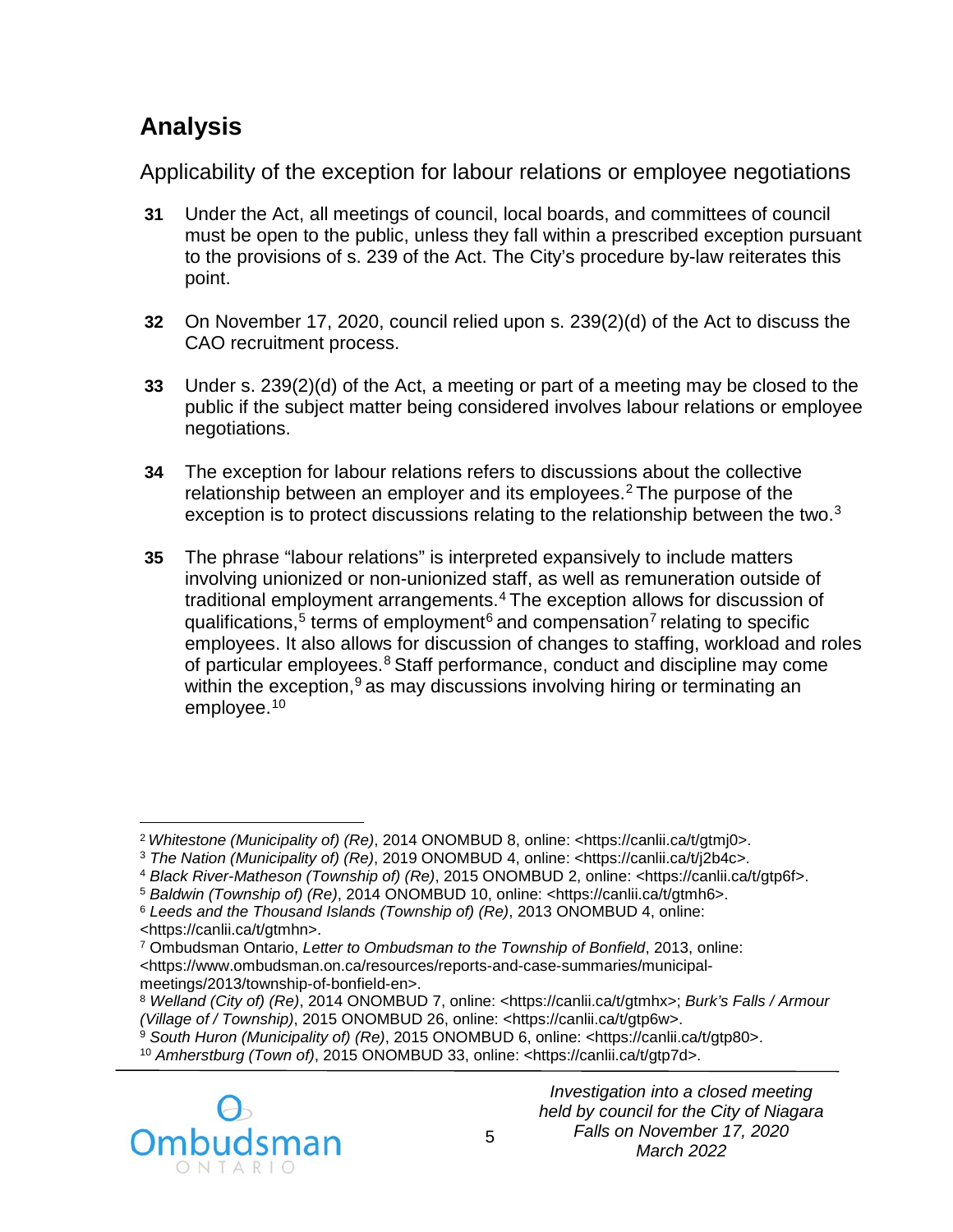# **Analysis**

Applicability of the exception for labour relations or employee negotiations

- **31** Under the Act, all meetings of council, local boards, and committees of council must be open to the public, unless they fall within a prescribed exception pursuant to the provisions of s. 239 of the Act. The City's procedure by-law reiterates this point.
- **32** On November 17, 2020, council relied upon s. 239(2)(d) of the Act to discuss the CAO recruitment process.
- **33** Under s. 239(2)(d) of the Act, a meeting or part of a meeting may be closed to the public if the subject matter being considered involves labour relations or employee negotiations.
- **34** The exception for labour relations refers to discussions about the collective relationship between an employer and its employees.[2](#page-5-0) The purpose of the exception is to protect discussions relating to the relationship between the two.<sup>[3](#page-5-1)</sup>
- **35** The phrase "labour relations" is interpreted expansively to include matters involving unionized or non-unionized staff, as well as remuneration outside of traditional employment arrangements.[4](#page-5-2) The exception allows for discussion of qualifications,<sup>[5](#page-5-3)</sup> terms of employment<sup>[6](#page-5-4)</sup> and compensation<sup>[7](#page-5-5)</sup> relating to specific employees. It also allows for discussion of changes to staffing, workload and roles of particular employees.<sup>[8](#page-5-6)</sup> Staff performance, conduct and discipline may come within the exception,<sup>[9](#page-5-7)</sup> as may discussions involving hiring or terminating an employee. [10](#page-5-8)

<span id="page-5-8"></span><span id="page-5-7"></span><span id="page-5-6"></span>

 $\overline{a}$ 

<span id="page-5-1"></span><span id="page-5-0"></span><sup>&</sup>lt;sup>2</sup> Whitestone (Municipality of) (Re), 2014 ONOMBUD 8, online: <https://canlii.ca/t/gtmj0>.<br><sup>3</sup> The Nation (Municipality of) (Re), 2019 ONOMBUD 4, online: <https://canlii.ca/t/j2b4c>.<br><sup>4</sup> Black River-Matheson (Township of)

<span id="page-5-3"></span><span id="page-5-2"></span>

<span id="page-5-5"></span><span id="page-5-4"></span><sup>&</sup>lt;https://canlii.ca/t/gtmhn>. 7 Ombudsman Ontario, *Letter to Ombudsman to the Township of Bonfield*, 2013, online: <https://www.ombudsman.on.ca/resources/reports-and-case-summaries/municipal-

meetings/2013/township-of-bonfield-en>. 8 *Welland (City of) (Re)*, 2014 ONOMBUD 7, online: <https://canlii.ca/t/gtmhx>; *Burk's [Falls / Armour](https://www.ombudsman.on.ca/resources/reports-and-case-summaries/municipal-meetings/2015/village-of-burk-s-falls-armour-township) (Village of / Township)*, 2015 ONOMBUD 26, online: [<https://canlii.ca/t/gtp6w>.](https://www.ombudsman.on.ca/resources/reports-and-case-summaries/municipal-meetings/2015/village-of-burk-s-falls-armour-township)

<sup>&</sup>lt;sup>9</sup> South Huron (Municipality of) (Re), 2015 ONOMBUD 6, online: <https://canlii.ca/t/gtp80>.<br><sup>10</sup> Amherstburg (Town of), 2015 ONOMBUD 33, online: <https://canlii.ca/t/gtp7d>.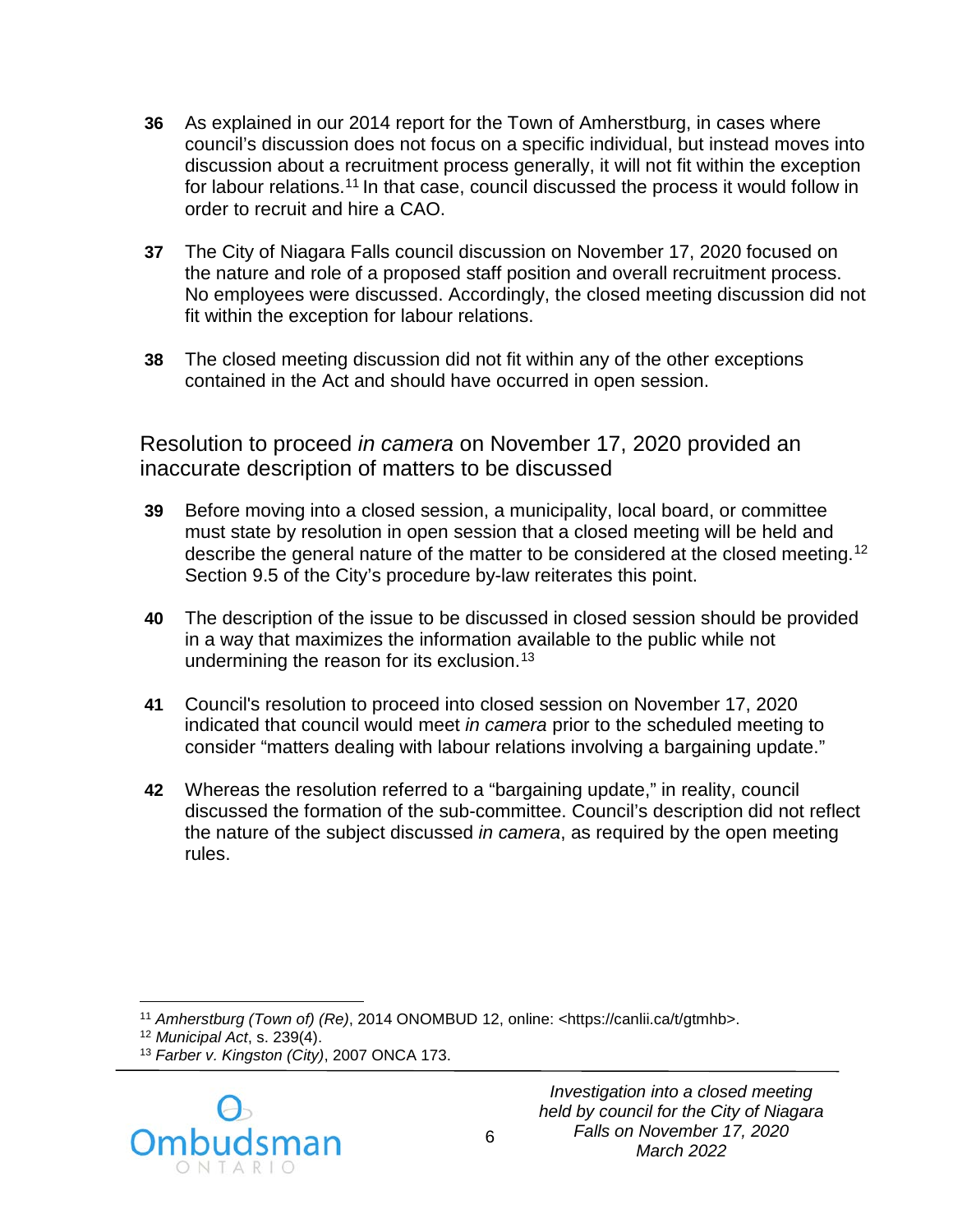- **36** As explained in our 2014 report for the Town of Amherstburg, in cases where council's discussion does not focus on a specific individual, but instead moves into discussion about a recruitment process generally, it will not fit within the exception for labour relations.<sup>[11](#page-6-0)</sup> In that case, council discussed the process it would follow in order to recruit and hire a CAO.
- **37** The City of Niagara Falls council discussion on November 17, 2020 focused on the nature and role of a proposed staff position and overall recruitment process. No employees were discussed. Accordingly, the closed meeting discussion did not fit within the exception for labour relations.
- **38** The closed meeting discussion did not fit within any of the other exceptions contained in the Act and should have occurred in open session.

Resolution to proceed *in camera* on November 17, 2020 provided an inaccurate description of matters to be discussed

- **39** Before moving into a closed session, a municipality, local board, or committee must state by resolution in open session that a closed meeting will be held and describe the general nature of the matter to be considered at the closed meeting.<sup>[12](#page-6-1)</sup> Section 9.5 of the City's procedure by-law reiterates this point.
- **40** The description of the issue to be discussed in closed session should be provided in a way that maximizes the information available to the public while not undermining the reason for its exclusion.<sup>[13](#page-6-2)</sup>
- **41** Council's resolution to proceed into closed session on November 17, 2020 indicated that council would meet *in camera* prior to the scheduled meeting to consider "matters dealing with labour relations involving a bargaining update."
- **42** Whereas the resolution referred to a "bargaining update," in reality, council discussed the formation of the sub-committee. Council's description did not reflect the nature of the subject discussed *in camera*, as required by the open meeting rules.

<span id="page-6-2"></span><span id="page-6-1"></span><span id="page-6-0"></span><sup>13</sup> *Farber v. Kingston (City)*, 2007 ONCA 173.



<sup>11</sup> *Amherstburg (Town of) (Re)*, 2014 ONOMBUD 12, online: <https://canlii.ca/t/gtmhb>. 12 *Municipal Act*, s. 239(4).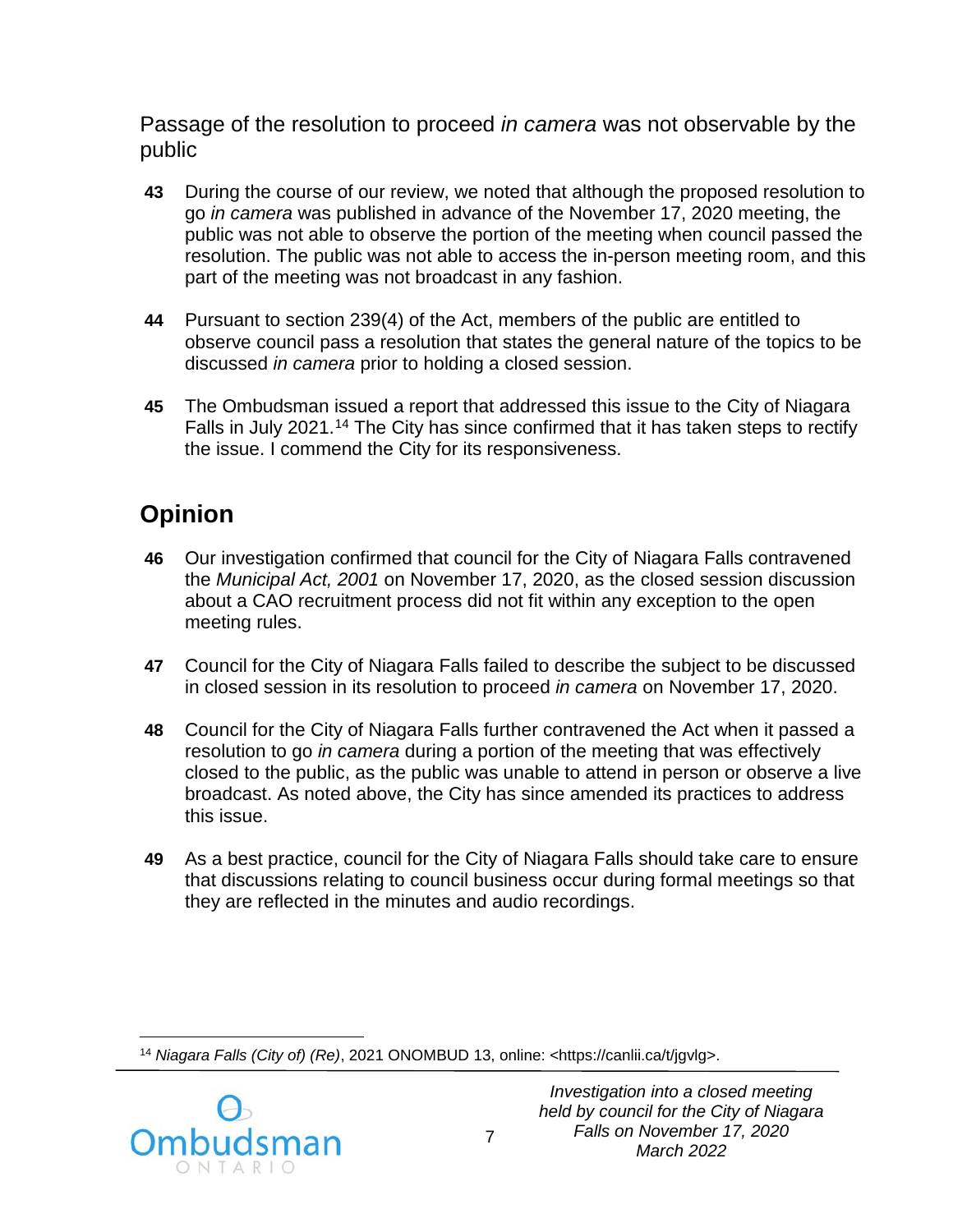Passage of the resolution to proceed *in camera* was not observable by the public

- **43** During the course of our review, we noted that although the proposed resolution to go *in camera* was published in advance of the November 17, 2020 meeting, the public was not able to observe the portion of the meeting when council passed the resolution. The public was not able to access the in-person meeting room, and this part of the meeting was not broadcast in any fashion.
- **44** Pursuant to section 239(4) of the Act, members of the public are entitled to observe council pass a resolution that states the general nature of the topics to be discussed *in camera* prior to holding a closed session.
- **45** The Ombudsman issued a report that addressed this issue to the City of Niagara Falls in July 2021.[14](#page-7-0) The City has since confirmed that it has taken steps to rectify the issue. I commend the City for its responsiveness.

# **Opinion**

- **46** Our investigation confirmed that council for the City of Niagara Falls contravened the *Municipal Act, 2001* on November 17, 2020, as the closed session discussion about a CAO recruitment process did not fit within any exception to the open meeting rules.
- **47** Council for the City of Niagara Falls failed to describe the subject to be discussed in closed session in its resolution to proceed *in camera* on November 17, 2020.
- **48** Council for the City of Niagara Falls further contravened the Act when it passed a resolution to go *in camera* during a portion of the meeting that was effectively closed to the public, as the public was unable to attend in person or observe a live broadcast. As noted above, the City has since amended its practices to address this issue.
- **49** As a best practice, council for the City of Niagara Falls should take care to ensure that discussions relating to council business occur during formal meetings so that they are reflected in the minutes and audio recordings.

<span id="page-7-0"></span> $\overline{a}$ <sup>14</sup> *Niagara Falls (City of) (Re)*, 2021 ONOMBUD 13, online: [<https://canlii.ca/t/jgvlg>](https://canlii.ca/t/jgvlg).

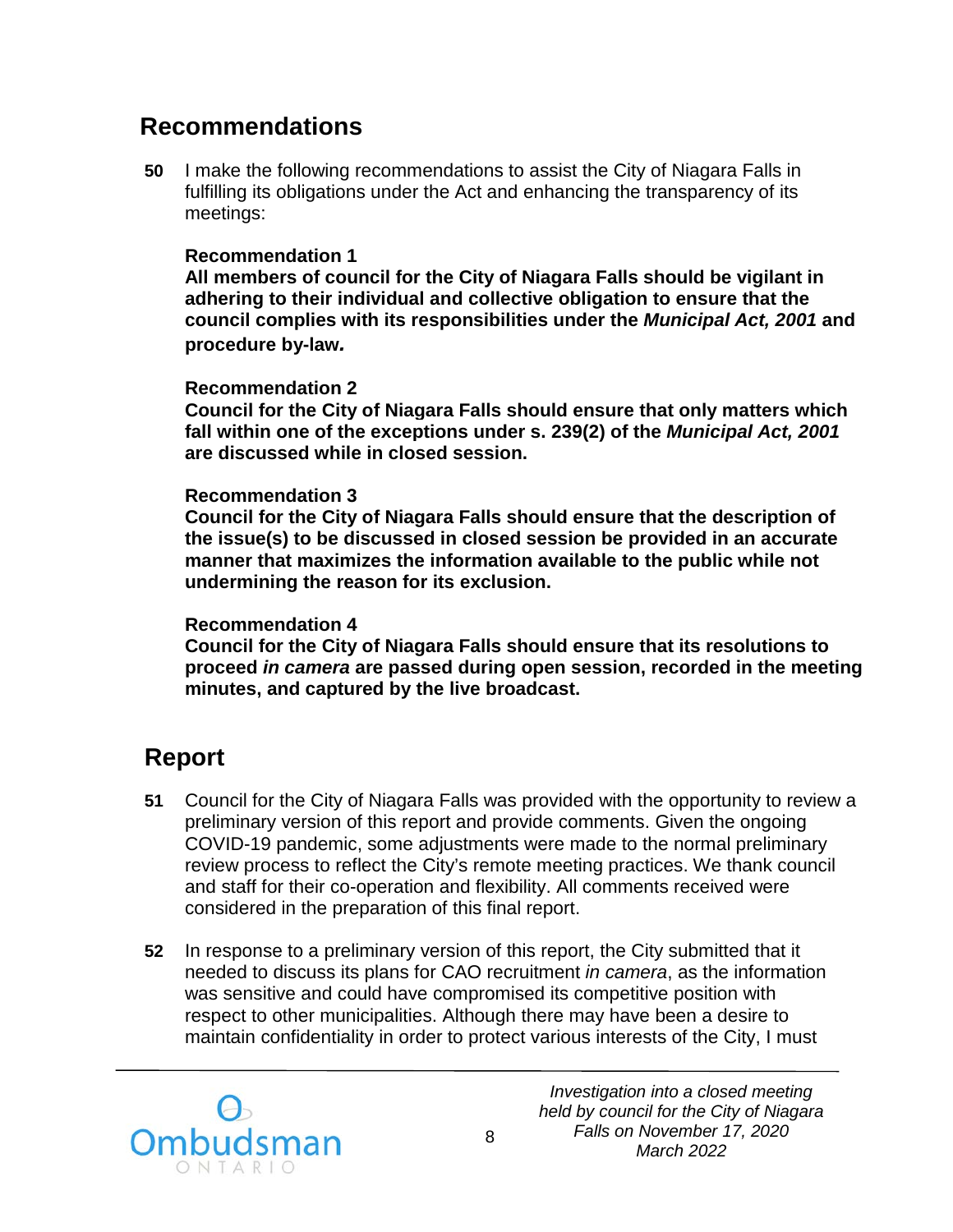### **Recommendations**

**50** I make the following recommendations to assist the City of Niagara Falls in fulfilling its obligations under the Act and enhancing the transparency of its meetings:

#### **Recommendation 1**

**All members of council for the City of Niagara Falls should be vigilant in adhering to their individual and collective obligation to ensure that the council complies with its responsibilities under the** *Municipal Act, 2001* **and procedure by-law***.* 

#### **Recommendation 2**

**Council for the City of Niagara Falls should ensure that only matters which fall within one of the exceptions under s. 239(2) of the** *Municipal Act, 2001* **are discussed while in closed session.** 

#### **Recommendation 3**

**Council for the City of Niagara Falls should ensure that the description of the issue(s) to be discussed in closed session be provided in an accurate manner that maximizes the information available to the public while not undermining the reason for its exclusion.**

#### **Recommendation 4**

**Council for the City of Niagara Falls should ensure that its resolutions to proceed** *in camera* **are passed during open session, recorded in the meeting minutes, and captured by the live broadcast.** 

## **Report**

- **51** Council for the City of Niagara Falls was provided with the opportunity to review a preliminary version of this report and provide comments. Given the ongoing COVID-19 pandemic, some adjustments were made to the normal preliminary review process to reflect the City's remote meeting practices. We thank council and staff for their co-operation and flexibility. All comments received were considered in the preparation of this final report.
- **52** In response to a preliminary version of this report, the City submitted that it needed to discuss its plans for CAO recruitment *in camera*, as the information was sensitive and could have compromised its competitive position with respect to other municipalities. Although there may have been a desire to maintain confidentiality in order to protect various interests of the City, I must